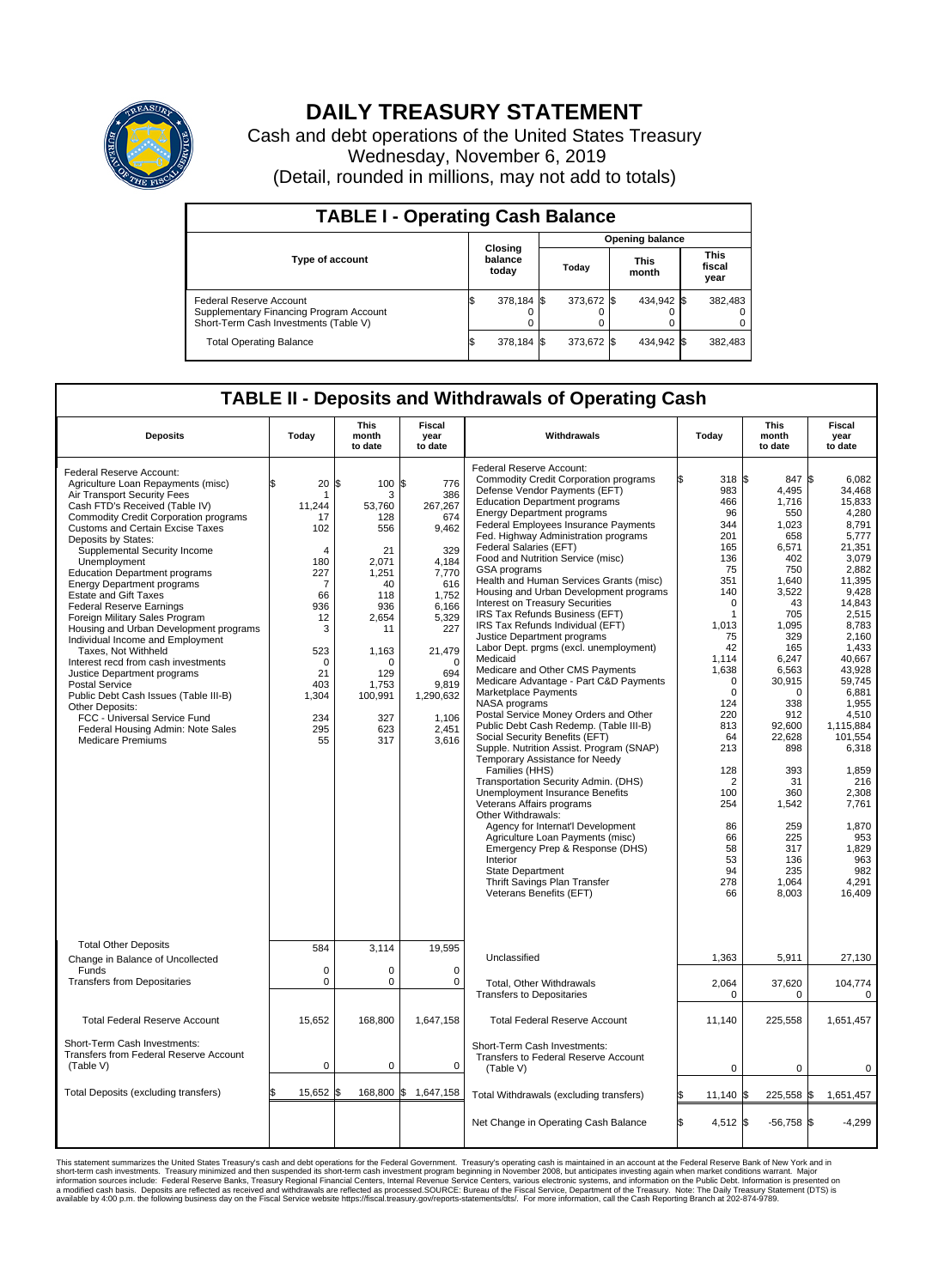

## **DAILY TREASURY STATEMENT**

Cash and debt operations of the United States Treasury Wednesday, November 6, 2019 (Detail, rounded in millions, may not add to totals)

| <b>TABLE I - Operating Cash Balance</b>                                                                     |                             |            |       |                        |                      |            |                               |         |  |  |  |
|-------------------------------------------------------------------------------------------------------------|-----------------------------|------------|-------|------------------------|----------------------|------------|-------------------------------|---------|--|--|--|
|                                                                                                             |                             |            |       | <b>Opening balance</b> |                      |            |                               |         |  |  |  |
| <b>Type of account</b>                                                                                      | Closing<br>balance<br>today |            | Today |                        | <b>This</b><br>month |            | <b>This</b><br>fiscal<br>year |         |  |  |  |
| Federal Reserve Account<br>Supplementary Financing Program Account<br>Short-Term Cash Investments (Table V) |                             | 378.184 \$ |       | 373.672 \$             |                      | 434.942 \$ |                               | 382,483 |  |  |  |
| <b>Total Operating Balance</b>                                                                              | ıъ                          | 378,184 \$ |       | 373,672 \$             |                      | 434,942 \$ |                               | 382,483 |  |  |  |

## **TABLE II - Deposits and Withdrawals of Operating Cash**

| <b>Deposits</b>                                                                                                                                                                                                                                                                                                                                                                                                                                                                                                                                                                                                                                                                                                                                                                                                                                      | Today                                                                                                                                               | <b>This</b><br>month<br>to date                                                                                                                                     | <b>Fiscal</b><br>year<br>to date                                                                                                                                                         | Withdrawals                                                                                                                                                                                                                                                                                                                                                                                                                                                                                                                                                                                                                                                                                                                                                                                                                                                                                                                                                                                                                                                                                                                                                                                                                                                                                                                            | Today                                                                                                                                                                                                                                                                                 | <b>This</b><br>month<br>to date                                                                                                                                                                                                                                                                 | <b>Fiscal</b><br>year<br>to date                                                                                                                                                                                                                                                                                                        |  |  |  |  |
|------------------------------------------------------------------------------------------------------------------------------------------------------------------------------------------------------------------------------------------------------------------------------------------------------------------------------------------------------------------------------------------------------------------------------------------------------------------------------------------------------------------------------------------------------------------------------------------------------------------------------------------------------------------------------------------------------------------------------------------------------------------------------------------------------------------------------------------------------|-----------------------------------------------------------------------------------------------------------------------------------------------------|---------------------------------------------------------------------------------------------------------------------------------------------------------------------|------------------------------------------------------------------------------------------------------------------------------------------------------------------------------------------|----------------------------------------------------------------------------------------------------------------------------------------------------------------------------------------------------------------------------------------------------------------------------------------------------------------------------------------------------------------------------------------------------------------------------------------------------------------------------------------------------------------------------------------------------------------------------------------------------------------------------------------------------------------------------------------------------------------------------------------------------------------------------------------------------------------------------------------------------------------------------------------------------------------------------------------------------------------------------------------------------------------------------------------------------------------------------------------------------------------------------------------------------------------------------------------------------------------------------------------------------------------------------------------------------------------------------------------|---------------------------------------------------------------------------------------------------------------------------------------------------------------------------------------------------------------------------------------------------------------------------------------|-------------------------------------------------------------------------------------------------------------------------------------------------------------------------------------------------------------------------------------------------------------------------------------------------|-----------------------------------------------------------------------------------------------------------------------------------------------------------------------------------------------------------------------------------------------------------------------------------------------------------------------------------------|--|--|--|--|
| Federal Reserve Account:<br>Agriculture Loan Repayments (misc)<br>Air Transport Security Fees<br>Cash FTD's Received (Table IV)<br><b>Commodity Credit Corporation programs</b><br><b>Customs and Certain Excise Taxes</b><br>Deposits by States:<br>Supplemental Security Income<br>Unemployment<br><b>Education Department programs</b><br><b>Energy Department programs</b><br><b>Estate and Gift Taxes</b><br><b>Federal Reserve Earnings</b><br>Foreign Military Sales Program<br>Housing and Urban Development programs<br>Individual Income and Employment<br>Taxes, Not Withheld<br>Interest recd from cash investments<br>Justice Department programs<br><b>Postal Service</b><br>Public Debt Cash Issues (Table III-B)<br>Other Deposits:<br>FCC - Universal Service Fund<br>Federal Housing Admin: Note Sales<br><b>Medicare Premiums</b> | \$.<br>20<br>11.244<br>17<br>102<br>$\overline{4}$<br>180<br>227<br>7<br>66<br>936<br>12<br>3<br>523<br>0<br>21<br>403<br>1,304<br>234<br>295<br>55 | l\$<br>100 \$<br>3<br>53.760<br>128<br>556<br>21<br>2.071<br>1,251<br>40<br>118<br>936<br>2,654<br>11<br>1,163<br>0<br>129<br>1.753<br>100,991<br>327<br>623<br>317 | 776<br>386<br>267,267<br>674<br>9,462<br>329<br>4.184<br>7,770<br>616<br>1,752<br>6,166<br>5,329<br>227<br>21,479<br>$\mathbf 0$<br>694<br>9,819<br>1,290,632<br>1,106<br>2,451<br>3,616 | Federal Reserve Account:<br><b>Commodity Credit Corporation programs</b><br>Defense Vendor Payments (EFT)<br><b>Education Department programs</b><br><b>Energy Department programs</b><br><b>Federal Employees Insurance Payments</b><br>Fed. Highway Administration programs<br>Federal Salaries (EFT)<br>Food and Nutrition Service (misc)<br><b>GSA</b> programs<br>Health and Human Services Grants (misc)<br>Housing and Urban Development programs<br>Interest on Treasury Securities<br>IRS Tax Refunds Business (EFT)<br>IRS Tax Refunds Individual (EFT)<br>Justice Department programs<br>Labor Dept. prgms (excl. unemployment)<br>Medicaid<br>Medicare and Other CMS Payments<br>Medicare Advantage - Part C&D Payments<br>Marketplace Payments<br>NASA programs<br>Postal Service Money Orders and Other<br>Public Debt Cash Redemp. (Table III-B)<br>Social Security Benefits (EFT)<br>Supple. Nutrition Assist. Program (SNAP)<br>Temporary Assistance for Needy<br>Families (HHS)<br>Transportation Security Admin. (DHS)<br>Unemployment Insurance Benefits<br>Veterans Affairs programs<br>Other Withdrawals:<br>Agency for Internat'l Development<br>Agriculture Loan Payments (misc)<br>Emergency Prep & Response (DHS)<br>Interior<br>State Department<br>Thrift Savings Plan Transfer<br>Veterans Benefits (EFT) | 318 \$<br>983<br>466<br>96<br>344<br>201<br>165<br>136<br>75<br>351<br>140<br>$\pmb{0}$<br>1<br>1,013<br>75<br>42<br>1,114<br>1,638<br>$\mathbf 0$<br>$\mathbf 0$<br>124<br>220<br>813<br>64<br>213<br>128<br>$\overline{2}$<br>100<br>254<br>86<br>66<br>58<br>53<br>94<br>278<br>66 | 847 \$<br>4,495<br>1,716<br>550<br>1,023<br>658<br>6,571<br>402<br>750<br>1,640<br>3,522<br>43<br>705<br>1,095<br>329<br>165<br>6,247<br>6,563<br>30,915<br>$\Omega$<br>338<br>912<br>92,600<br>22.628<br>898<br>393<br>31<br>360<br>1,542<br>259<br>225<br>317<br>136<br>235<br>1,064<br>8,003 | 6.082<br>34,468<br>15,833<br>4.280<br>8,791<br>5,777<br>21.351<br>3,079<br>2.882<br>11,395<br>9,428<br>14,843<br>2,515<br>8,783<br>2,160<br>1,433<br>40,667<br>43,928<br>59,745<br>6.881<br>1,955<br>4,510<br>1,115,884<br>101.554<br>6,318<br>1.859<br>216<br>2.308<br>7,761<br>1,870<br>953<br>1,829<br>963<br>982<br>4,291<br>16,409 |  |  |  |  |
| <b>Total Other Deposits</b><br>Change in Balance of Uncollected                                                                                                                                                                                                                                                                                                                                                                                                                                                                                                                                                                                                                                                                                                                                                                                      | 584                                                                                                                                                 | 3,114                                                                                                                                                               | 19,595                                                                                                                                                                                   | Unclassified                                                                                                                                                                                                                                                                                                                                                                                                                                                                                                                                                                                                                                                                                                                                                                                                                                                                                                                                                                                                                                                                                                                                                                                                                                                                                                                           | 1,363                                                                                                                                                                                                                                                                                 | 5,911                                                                                                                                                                                                                                                                                           | 27,130                                                                                                                                                                                                                                                                                                                                  |  |  |  |  |
| Funds<br><b>Transfers from Depositaries</b>                                                                                                                                                                                                                                                                                                                                                                                                                                                                                                                                                                                                                                                                                                                                                                                                          | $\mathbf 0$<br>$\mathbf 0$                                                                                                                          | 0<br>0                                                                                                                                                              | $\mathbf 0$<br>$\mathbf 0$                                                                                                                                                               | Total, Other Withdrawals<br><b>Transfers to Depositaries</b>                                                                                                                                                                                                                                                                                                                                                                                                                                                                                                                                                                                                                                                                                                                                                                                                                                                                                                                                                                                                                                                                                                                                                                                                                                                                           | 2,064<br>$\Omega$                                                                                                                                                                                                                                                                     | 37,620<br>$\Omega$                                                                                                                                                                                                                                                                              | 104,774<br>$\Omega$                                                                                                                                                                                                                                                                                                                     |  |  |  |  |
| <b>Total Federal Reserve Account</b>                                                                                                                                                                                                                                                                                                                                                                                                                                                                                                                                                                                                                                                                                                                                                                                                                 | 15,652                                                                                                                                              | 168,800                                                                                                                                                             | 1,647,158                                                                                                                                                                                | <b>Total Federal Reserve Account</b>                                                                                                                                                                                                                                                                                                                                                                                                                                                                                                                                                                                                                                                                                                                                                                                                                                                                                                                                                                                                                                                                                                                                                                                                                                                                                                   | 11,140                                                                                                                                                                                                                                                                                | 225,558                                                                                                                                                                                                                                                                                         | 1,651,457                                                                                                                                                                                                                                                                                                                               |  |  |  |  |
| Short-Term Cash Investments:<br>Transfers from Federal Reserve Account<br>(Table V)                                                                                                                                                                                                                                                                                                                                                                                                                                                                                                                                                                                                                                                                                                                                                                  | $\mathbf 0$                                                                                                                                         | $\mathbf 0$                                                                                                                                                         | $\mathbf 0$                                                                                                                                                                              | Short-Term Cash Investments:<br>Transfers to Federal Reserve Account<br>(Table V)                                                                                                                                                                                                                                                                                                                                                                                                                                                                                                                                                                                                                                                                                                                                                                                                                                                                                                                                                                                                                                                                                                                                                                                                                                                      | $\mathbf 0$                                                                                                                                                                                                                                                                           | $\mathbf 0$                                                                                                                                                                                                                                                                                     | 0                                                                                                                                                                                                                                                                                                                                       |  |  |  |  |
| Total Deposits (excluding transfers)                                                                                                                                                                                                                                                                                                                                                                                                                                                                                                                                                                                                                                                                                                                                                                                                                 | 15,652 \$                                                                                                                                           | 168,800 \$                                                                                                                                                          | 1,647,158                                                                                                                                                                                | Total Withdrawals (excluding transfers)                                                                                                                                                                                                                                                                                                                                                                                                                                                                                                                                                                                                                                                                                                                                                                                                                                                                                                                                                                                                                                                                                                                                                                                                                                                                                                | $11,140$ \$                                                                                                                                                                                                                                                                           | 225,558 \$                                                                                                                                                                                                                                                                                      | 1,651,457                                                                                                                                                                                                                                                                                                                               |  |  |  |  |
|                                                                                                                                                                                                                                                                                                                                                                                                                                                                                                                                                                                                                                                                                                                                                                                                                                                      |                                                                                                                                                     |                                                                                                                                                                     |                                                                                                                                                                                          | Net Change in Operating Cash Balance                                                                                                                                                                                                                                                                                                                                                                                                                                                                                                                                                                                                                                                                                                                                                                                                                                                                                                                                                                                                                                                                                                                                                                                                                                                                                                   | ß.<br>4,512 \$                                                                                                                                                                                                                                                                        | $-56,758$ \$                                                                                                                                                                                                                                                                                    | $-4.299$                                                                                                                                                                                                                                                                                                                                |  |  |  |  |

This statement summarizes the United States Treasury's cash and debt operations for the Federal Government. Treasury soperating in November 2008, but anticiarded in a cocount at the Federal metaformation sources investment